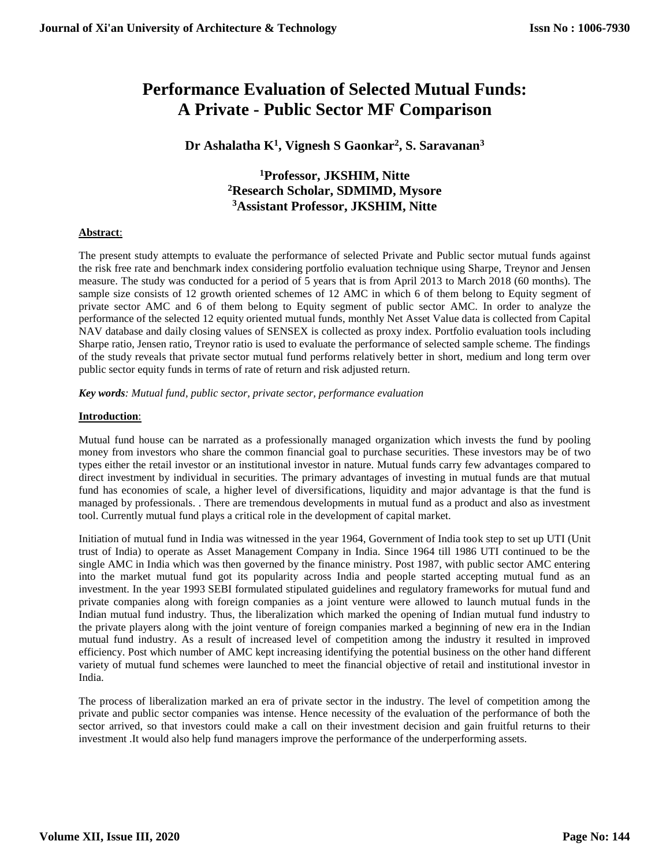# **Performance Evaluation of Selected Mutual Funds: A Private - Public Sector MF Comparison**

## **Dr Ashalatha K<sup>1</sup> , Vignesh S Gaonkar<sup>2</sup> , S. Saravanan<sup>3</sup>**

## **<sup>1</sup>Professor, JKSHIM, Nitte <sup>2</sup>Research Scholar, SDMIMD, Mysore <sup>3</sup>Assistant Professor, JKSHIM, Nitte**

## **Abstract**:

The present study attempts to evaluate the performance of selected Private and Public sector mutual funds against the risk free rate and benchmark index considering portfolio evaluation technique using Sharpe, Treynor and Jensen measure. The study was conducted for a period of 5 years that is from April 2013 to March 2018 (60 months). The sample size consists of 12 growth oriented schemes of 12 AMC in which 6 of them belong to Equity segment of private sector AMC and 6 of them belong to Equity segment of public sector AMC. In order to analyze the performance of the selected 12 equity oriented mutual funds, monthly Net Asset Value data is collected from Capital NAV database and daily closing values of SENSEX is collected as proxy index. Portfolio evaluation tools including Sharpe ratio, Jensen ratio, Treynor ratio is used to evaluate the performance of selected sample scheme. The findings of the study reveals that private sector mutual fund performs relatively better in short, medium and long term over public sector equity funds in terms of rate of return and risk adjusted return.

*Key words: Mutual fund, public sector, private sector, performance evaluation*

## **Introduction**:

Mutual fund house can be narrated as a professionally managed organization which invests the fund by pooling money from investors who share the common financial goal to purchase securities. These investors may be of two types either the retail investor or an institutional investor in nature. Mutual funds carry few advantages compared to direct investment by individual in securities. The primary advantages of investing in mutual funds are that mutual fund has economies of scale, a higher level of diversifications, liquidity and major advantage is that the fund is managed by professionals. . There are tremendous developments in mutual fund as a product and also as investment tool. Currently mutual fund plays a critical role in the development of capital market.

Initiation of mutual fund in India was witnessed in the year 1964, Government of India took step to set up UTI (Unit trust of India) to operate as Asset Management Company in India. Since 1964 till 1986 UTI continued to be the single AMC in India which was then governed by the finance ministry. Post 1987, with public sector AMC entering into the market mutual fund got its popularity across India and people started accepting mutual fund as an investment. In the year 1993 SEBI formulated stipulated guidelines and regulatory frameworks for mutual fund and private companies along with foreign companies as a joint venture were allowed to launch mutual funds in the Indian mutual fund industry. Thus, the liberalization which marked the opening of Indian mutual fund industry to the private players along with the joint venture of foreign companies marked a beginning of new era in the Indian mutual fund industry. As a result of increased level of competition among the industry it resulted in improved efficiency. Post which number of AMC kept increasing identifying the potential business on the other hand different variety of mutual fund schemes were launched to meet the financial objective of retail and institutional investor in India.

The process of liberalization marked an era of private sector in the industry. The level of competition among the private and public sector companies was intense. Hence necessity of the evaluation of the performance of both the sector arrived, so that investors could make a call on their investment decision and gain fruitful returns to their investment .It would also help fund managers improve the performance of the underperforming assets.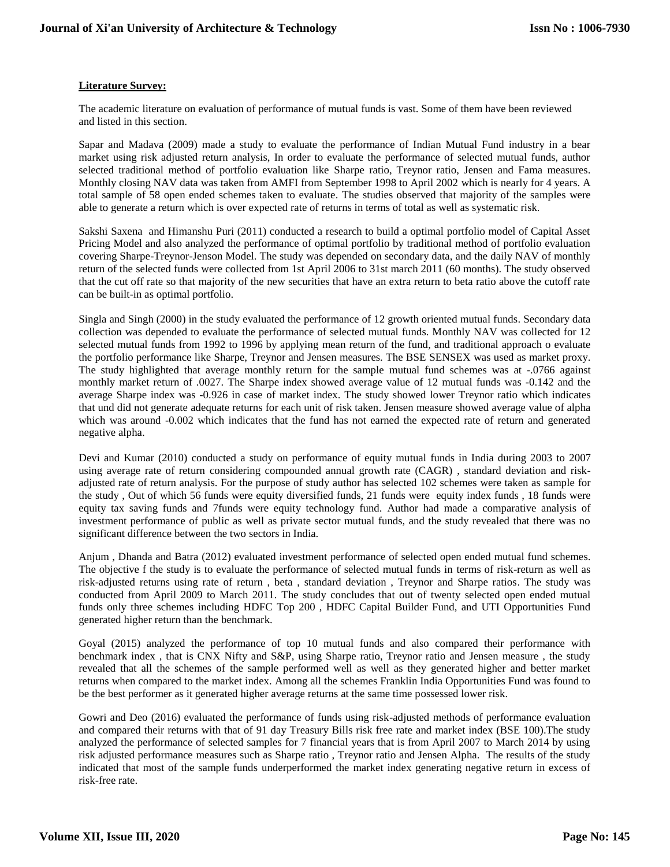## **Literature Survey:**

The academic literature on evaluation of performance of mutual funds is vast. Some of them have been reviewed and listed in this section.

Sapar and Madava (2009) made a study to evaluate the performance of Indian Mutual Fund industry in a bear market using risk adjusted return analysis, In order to evaluate the performance of selected mutual funds, author selected traditional method of portfolio evaluation like Sharpe ratio, Treynor ratio, Jensen and Fama measures. Monthly closing NAV data was taken from AMFI from September 1998 to April 2002 which is nearly for 4 years. A total sample of 58 open ended schemes taken to evaluate. The studies observed that majority of the samples were able to generate a return which is over expected rate of returns in terms of total as well as systematic risk.

Sakshi Saxena and Himanshu Puri (2011) conducted a research to build a optimal portfolio model of Capital Asset Pricing Model and also analyzed the performance of optimal portfolio by traditional method of portfolio evaluation covering Sharpe-Treynor-Jenson Model. The study was depended on secondary data, and the daily NAV of monthly return of the selected funds were collected from 1st April 2006 to 31st march 2011 (60 months). The study observed that the cut off rate so that majority of the new securities that have an extra return to beta ratio above the cutoff rate can be built-in as optimal portfolio.

Singla and Singh (2000) in the study evaluated the performance of 12 growth oriented mutual funds. Secondary data collection was depended to evaluate the performance of selected mutual funds. Monthly NAV was collected for 12 selected mutual funds from 1992 to 1996 by applying mean return of the fund, and traditional approach o evaluate the portfolio performance like Sharpe, Treynor and Jensen measures. The BSE SENSEX was used as market proxy. The study highlighted that average monthly return for the sample mutual fund schemes was at -.0766 against monthly market return of .0027. The Sharpe index showed average value of 12 mutual funds was -0.142 and the average Sharpe index was -0.926 in case of market index. The study showed lower Treynor ratio which indicates that und did not generate adequate returns for each unit of risk taken. Jensen measure showed average value of alpha which was around -0.002 which indicates that the fund has not earned the expected rate of return and generated negative alpha.

Devi and Kumar (2010) conducted a study on performance of equity mutual funds in India during 2003 to 2007 using average rate of return considering compounded annual growth rate (CAGR) , standard deviation and riskadjusted rate of return analysis. For the purpose of study author has selected 102 schemes were taken as sample for the study , Out of which 56 funds were equity diversified funds, 21 funds were equity index funds , 18 funds were equity tax saving funds and 7funds were equity technology fund. Author had made a comparative analysis of investment performance of public as well as private sector mutual funds, and the study revealed that there was no significant difference between the two sectors in India.

Anjum , Dhanda and Batra (2012) evaluated investment performance of selected open ended mutual fund schemes. The objective f the study is to evaluate the performance of selected mutual funds in terms of risk-return as well as risk-adjusted returns using rate of return , beta , standard deviation , Treynor and Sharpe ratios. The study was conducted from April 2009 to March 2011. The study concludes that out of twenty selected open ended mutual funds only three schemes including HDFC Top 200 , HDFC Capital Builder Fund, and UTI Opportunities Fund generated higher return than the benchmark.

Goyal (2015) analyzed the performance of top 10 mutual funds and also compared their performance with benchmark index , that is CNX Nifty and S&P, using Sharpe ratio, Treynor ratio and Jensen measure , the study revealed that all the schemes of the sample performed well as well as they generated higher and better market returns when compared to the market index. Among all the schemes Franklin India Opportunities Fund was found to be the best performer as it generated higher average returns at the same time possessed lower risk.

Gowri and Deo (2016) evaluated the performance of funds using risk-adjusted methods of performance evaluation and compared their returns with that of 91 day Treasury Bills risk free rate and market index (BSE 100).The study analyzed the performance of selected samples for 7 financial years that is from April 2007 to March 2014 by using risk adjusted performance measures such as Sharpe ratio , Treynor ratio and Jensen Alpha. The results of the study indicated that most of the sample funds underperformed the market index generating negative return in excess of risk-free rate.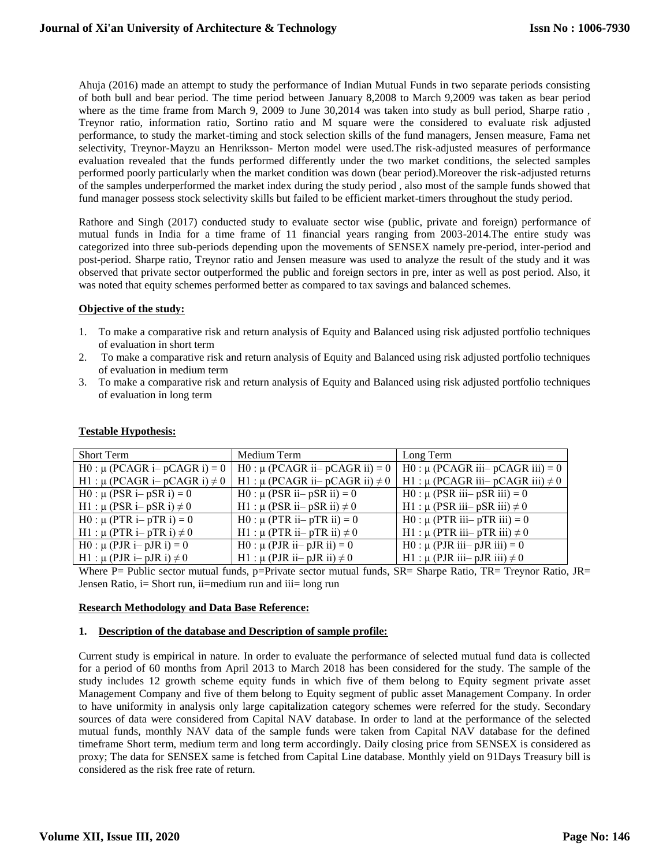Ahuja (2016) made an attempt to study the performance of Indian Mutual Funds in two separate periods consisting of both bull and bear period. The time period between January 8,2008 to March 9,2009 was taken as bear period where as the time frame from March 9, 2009 to June 30,2014 was taken into study as bull period, Sharpe ratio , Treynor ratio, information ratio, Sortino ratio and M square were the considered to evaluate risk adjusted performance, to study the market-timing and stock selection skills of the fund managers, Jensen measure, Fama net selectivity, Treynor-Mayzu an Henriksson- Merton model were used.The risk-adjusted measures of performance evaluation revealed that the funds performed differently under the two market conditions, the selected samples performed poorly particularly when the market condition was down (bear period).Moreover the risk-adjusted returns of the samples underperformed the market index during the study period , also most of the sample funds showed that fund manager possess stock selectivity skills but failed to be efficient market-timers throughout the study period.

Rathore and Singh (2017) conducted study to evaluate sector wise (public, private and foreign) performance of mutual funds in India for a time frame of 11 financial years ranging from 2003-2014.The entire study was categorized into three sub-periods depending upon the movements of SENSEX namely pre-period, inter-period and post-period. Sharpe ratio, Treynor ratio and Jensen measure was used to analyze the result of the study and it was observed that private sector outperformed the public and foreign sectors in pre, inter as well as post period. Also, it was noted that equity schemes performed better as compared to tax savings and balanced schemes.

## **Objective of the study:**

- 1. To make a comparative risk and return analysis of Equity and Balanced using risk adjusted portfolio techniques of evaluation in short term
- 2. To make a comparative risk and return analysis of Equity and Balanced using risk adjusted portfolio techniques of evaluation in medium term
- 3. To make a comparative risk and return analysis of Equity and Balanced using risk adjusted portfolio techniques of evaluation in long term

| <b>Short Term</b>                      | Medium Term                              | Long Term                                  |
|----------------------------------------|------------------------------------------|--------------------------------------------|
| H0 : $\mu$ (PCAGR i– pCAGR i) = 0      | H0 : $\mu$ (PCAGR ii– pCAGR ii) = 0      | H0 : $\mu$ (PCAGR iii– pCAGR iii) = 0      |
| H1 : $\mu$ (PCAGR i– pCAGR i) $\neq$ 0 | H1 : $\mu$ (PCAGR ii– pCAGR ii) $\neq$ 0 | H1 : $\mu$ (PCAGR iii– pCAGR iii) $\neq$ 0 |
| $H0: \mu$ (PSR i– pSR i) = 0           | H0 : $\mu$ (PSR ii– pSR ii) = 0          | H0 : $\mu$ (PSR iii– pSR iii) = 0          |
| H1 : $\mu$ (PSR i– pSR i) $\neq$ 0     | H1 : $\mu$ (PSR ii– pSR ii) $\neq$ 0     | H1 : $\mu$ (PSR iii– pSR iii) $\neq$ 0     |
| $H0: μ$ (PTR i– pTR i) = 0             | $H0: μ$ (PTR ii– pTR ii) = 0             | H0 : $\mu$ (PTR iii– pTR iii) = 0          |
| H1 : $\mu$ (PTR i– pTR i) $\neq$ 0     | H1 : $\mu$ (PTR ii– pTR ii) $\neq$ 0     | H1 : $\mu$ (PTR iii– pTR iii) $\neq$ 0     |
| $H0: μ (PIR i-pJR i) = 0$              | $H0: μ$ (PJR ii– pJR ii) = 0             | H0 : $\mu$ (PJR iii– pJR iii) = 0          |
| H1 : $\mu$ (PJR i– pJR i) $\neq$ 0     | H1 : $\mu$ (PJR ii– pJR ii) $\neq$ 0     | H1 : $\mu$ (PJR iii– pJR iii) $\neq$ 0     |

## **Testable Hypothesis:**

Where P= Public sector mutual funds, p=Private sector mutual funds, SR= Sharpe Ratio, TR= Treynor Ratio, JR= Jensen Ratio, i= Short run, ii=medium run and iii= long run

## **Research Methodology and Data Base Reference:**

#### **1. Description of the database and Description of sample profile:**

Current study is empirical in nature. In order to evaluate the performance of selected mutual fund data is collected for a period of 60 months from April 2013 to March 2018 has been considered for the study. The sample of the study includes 12 growth scheme equity funds in which five of them belong to Equity segment private asset Management Company and five of them belong to Equity segment of public asset Management Company. In order to have uniformity in analysis only large capitalization category schemes were referred for the study. Secondary sources of data were considered from Capital NAV database. In order to land at the performance of the selected mutual funds, monthly NAV data of the sample funds were taken from Capital NAV database for the defined timeframe Short term, medium term and long term accordingly. Daily closing price from SENSEX is considered as proxy; The data for SENSEX same is fetched from Capital Line database. Monthly yield on 91Days Treasury bill is considered as the risk free rate of return.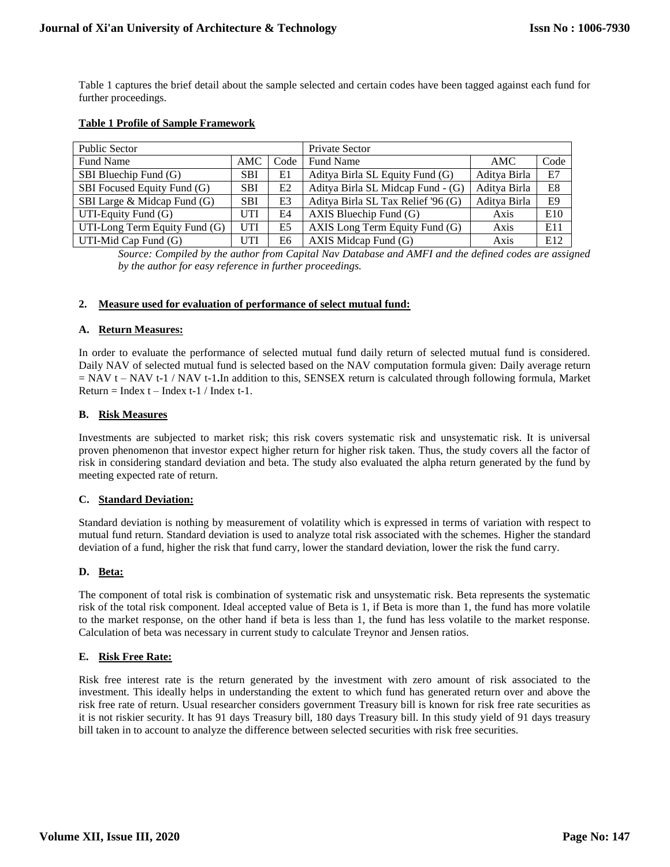Table 1 captures the brief detail about the sample selected and certain codes have been tagged against each fund for further proceedings.

## **Table 1 Profile of Sample Framework**

| <b>Public Sector</b>          |            |                | Private Sector                     |              |                |
|-------------------------------|------------|----------------|------------------------------------|--------------|----------------|
| Fund Name                     | AMC.       | Code           | <b>Fund Name</b>                   | AMC.         | Code           |
| SBI Bluechip Fund (G)         | <b>SBI</b> | E1             | Aditya Birla SL Equity Fund (G)    | Aditya Birla | E7             |
| SBI Focused Equity Fund (G)   | <b>SBI</b> | E2             | Aditya Birla SL Midcap Fund - (G)  | Aditya Birla | E8             |
| SBI Large & Midcap Fund (G)   | <b>SBI</b> | E <sub>3</sub> | Aditya Birla SL Tax Relief '96 (G) | Aditya Birla | E <sub>9</sub> |
| UTI-Equity Fund $(G)$         | UTI        | E4             | AXIS Bluechip Fund $(G)$           | Axis         | E10            |
| UTI-Long Term Equity Fund (G) | <b>UTI</b> | E <sub>5</sub> | AXIS Long Term Equity Fund (G)     | Axis         | E11            |
| UTI-Mid Cap Fund (G)          | UTI        | E6             | AXIS Midcap Fund (G)               | Axis         | E12            |

*Source: Compiled by the author from Capital Nav Database and AMFI and the defined codes are assigned by the author for easy reference in further proceedings.*

## **2. Measure used for evaluation of performance of select mutual fund:**

## **A. Return Measures:**

In order to evaluate the performance of selected mutual fund daily return of selected mutual fund is considered. Daily NAV of selected mutual fund is selected based on the NAV computation formula given: Daily average return = NAV t – NAV t-1 / NAV t-1**.**In addition to this, SENSEX return is calculated through following formula, Market  $Return = Index t - Index t-1 / Index t-1$ .

## **B. Risk Measures**

Investments are subjected to market risk; this risk covers systematic risk and unsystematic risk. It is universal proven phenomenon that investor expect higher return for higher risk taken. Thus, the study covers all the factor of risk in considering standard deviation and beta. The study also evaluated the alpha return generated by the fund by meeting expected rate of return.

## **C. Standard Deviation:**

Standard deviation is nothing by measurement of volatility which is expressed in terms of variation with respect to mutual fund return. Standard deviation is used to analyze total risk associated with the schemes. Higher the standard deviation of a fund, higher the risk that fund carry, lower the standard deviation, lower the risk the fund carry.

## **D. Beta:**

The component of total risk is combination of systematic risk and unsystematic risk. Beta represents the systematic risk of the total risk component. Ideal accepted value of Beta is 1, if Beta is more than 1, the fund has more volatile to the market response, on the other hand if beta is less than 1, the fund has less volatile to the market response. Calculation of beta was necessary in current study to calculate Treynor and Jensen ratios.

## **E. Risk Free Rate:**

Risk free interest rate is the return generated by the investment with zero amount of risk associated to the investment. This ideally helps in understanding the extent to which fund has generated return over and above the risk free rate of return. Usual researcher considers government Treasury bill is known for risk free rate securities as it is not riskier security. It has 91 days Treasury bill, 180 days Treasury bill. In this study yield of 91 days treasury bill taken in to account to analyze the difference between selected securities with risk free securities.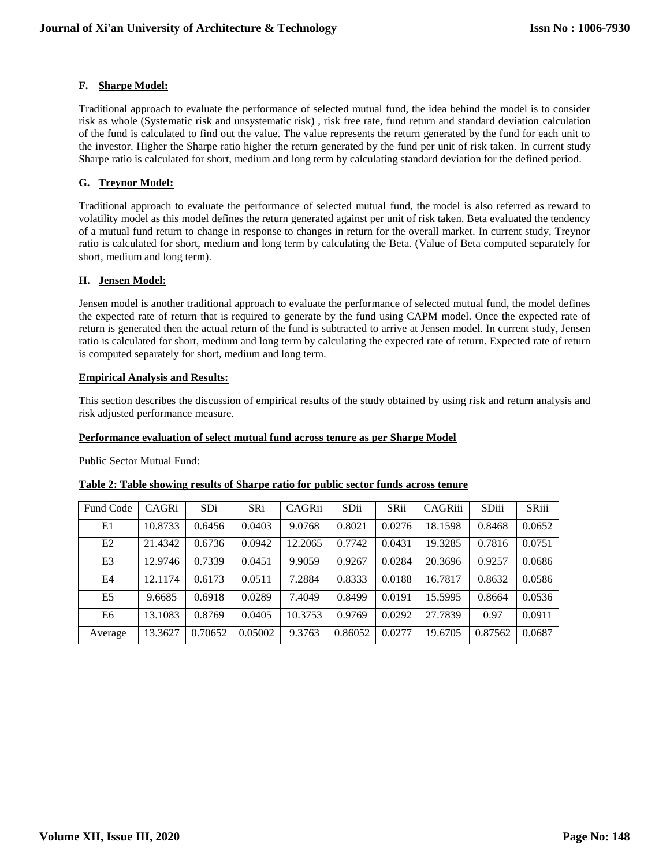## **F. Sharpe Model:**

Traditional approach to evaluate the performance of selected mutual fund, the idea behind the model is to consider risk as whole (Systematic risk and unsystematic risk) , risk free rate, fund return and standard deviation calculation of the fund is calculated to find out the value. The value represents the return generated by the fund for each unit to the investor. Higher the Sharpe ratio higher the return generated by the fund per unit of risk taken. In current study Sharpe ratio is calculated for short, medium and long term by calculating standard deviation for the defined period.

## **G. Treynor Model:**

Traditional approach to evaluate the performance of selected mutual fund, the model is also referred as reward to volatility model as this model defines the return generated against per unit of risk taken. Beta evaluated the tendency of a mutual fund return to change in response to changes in return for the overall market. In current study, Treynor ratio is calculated for short, medium and long term by calculating the Beta. (Value of Beta computed separately for short, medium and long term).

## **H. Jensen Model:**

Jensen model is another traditional approach to evaluate the performance of selected mutual fund, the model defines the expected rate of return that is required to generate by the fund using CAPM model. Once the expected rate of return is generated then the actual return of the fund is subtracted to arrive at Jensen model. In current study, Jensen ratio is calculated for short, medium and long term by calculating the expected rate of return. Expected rate of return is computed separately for short, medium and long term.

## **Empirical Analysis and Results:**

This section describes the discussion of empirical results of the study obtained by using risk and return analysis and risk adjusted performance measure.

## **Performance evaluation of select mutual fund across tenure as per Sharpe Model**

Public Sector Mutual Fund:

| Fund Code      | CAGRi   | <b>SDi</b> | SRi     | CAGRii  | SDii    | <b>SRii</b> | CAGRiii | SDiii   | SRiii  |
|----------------|---------|------------|---------|---------|---------|-------------|---------|---------|--------|
| E1             | 10.8733 | 0.6456     | 0.0403  | 9.0768  | 0.8021  | 0.0276      | 18.1598 | 0.8468  | 0.0652 |
| E2             | 21.4342 | 0.6736     | 0.0942  | 12.2065 | 0.7742  | 0.0431      | 19.3285 | 0.7816  | 0.0751 |
| E <sub>3</sub> | 12.9746 | 0.7339     | 0.0451  | 9.9059  | 0.9267  | 0.0284      | 20.3696 | 0.9257  | 0.0686 |
| E4             | 12.1174 | 0.6173     | 0.0511  | 7.2884  | 0.8333  | 0.0188      | 16.7817 | 0.8632  | 0.0586 |
| E <sub>5</sub> | 9.6685  | 0.6918     | 0.0289  | 7.4049  | 0.8499  | 0.0191      | 15.5995 | 0.8664  | 0.0536 |
| E <sub>6</sub> | 13.1083 | 0.8769     | 0.0405  | 10.3753 | 0.9769  | 0.0292      | 27.7839 | 0.97    | 0.0911 |
| Average        | 13.3627 | 0.70652    | 0.05002 | 9.3763  | 0.86052 | 0.0277      | 19.6705 | 0.87562 | 0.0687 |

## **Table 2: Table showing results of Sharpe ratio for public sector funds across tenure**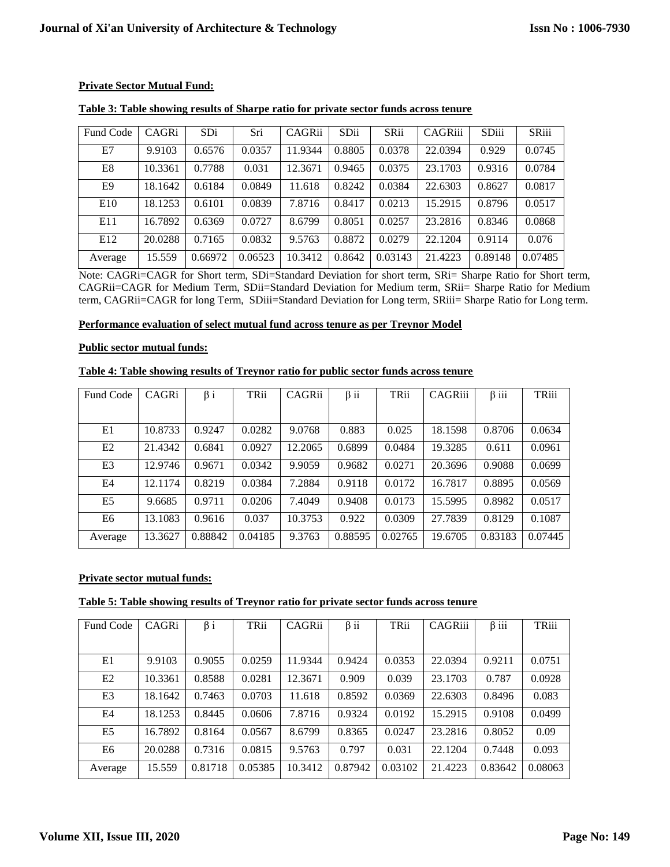## **Private Sector Mutual Fund:**

| Fund Code | CAGRi   | SDi     | Sri     | CAGRii  | SDii   | SRii    | CAGRiii | SDiii   | <b>SRiii</b> |
|-----------|---------|---------|---------|---------|--------|---------|---------|---------|--------------|
| E7        | 9.9103  | 0.6576  | 0.0357  | 1.9344  | 0.8805 | 0.0378  | 22.0394 | 0.929   | 0.0745       |
| E8        | 10.3361 | 0.7788  | 0.031   | 12.3671 | 0.9465 | 0.0375  | 23.1703 | 0.9316  | 0.0784       |
| E9        | 18.1642 | 0.6184  | 0.0849  | 11.618  | 0.8242 | 0.0384  | 22.6303 | 0.8627  | 0.0817       |
| E10       | 18.1253 | 0.6101  | 0.0839  | 7.8716  | 0.8417 | 0.0213  | 15.2915 | 0.8796  | 0.0517       |
| E11       | 16.7892 | 0.6369  | 0.0727  | 8.6799  | 0.8051 | 0.0257  | 23.2816 | 0.8346  | 0.0868       |
| E12       | 20.0288 | 0.7165  | 0.0832  | 9.5763  | 0.8872 | 0.0279  | 22.1204 | 0.9114  | 0.076        |
| Average   | 15.559  | 0.66972 | 0.06523 | 10.3412 | 0.8642 | 0.03143 | 21.4223 | 0.89148 | 0.07485      |

## **Table 3: Table showing results of Sharpe ratio for private sector funds across tenure**

Note: CAGRi=CAGR for Short term, SDi=Standard Deviation for short term, SRi= Sharpe Ratio for Short term, CAGRii=CAGR for Medium Term, SDii=Standard Deviation for Medium term, SRii= Sharpe Ratio for Medium term, CAGRii=CAGR for long Term, SDiii=Standard Deviation for Long term, SRiii= Sharpe Ratio for Long term.

## **Performance evaluation of select mutual fund across tenure as per Treynor Model**

## **Public sector mutual funds:**

## **Table 4: Table showing results of Treynor ratio for public sector funds across tenure**

| Fund Code      | CAGRi   | $\beta i$ | TRii    | CAGRii  | $\beta$ ii | TRii    | CAGRiii | $\beta$ iii | TRiii   |
|----------------|---------|-----------|---------|---------|------------|---------|---------|-------------|---------|
|                |         |           |         |         |            |         |         |             |         |
| E1             | 10.8733 | 0.9247    | 0.0282  | 9.0768  | 0.883      | 0.025   | 18.1598 | 0.8706      | 0.0634  |
| E2             | 21.4342 | 0.6841    | 0.0927  | 12.2065 | 0.6899     | 0.0484  | 19.3285 | 0.611       | 0.0961  |
| E <sub>3</sub> | 12.9746 | 0.9671    | 0.0342  | 9.9059  | 0.9682     | 0.0271  | 20.3696 | 0.9088      | 0.0699  |
| E4             | 12.1174 | 0.8219    | 0.0384  | 7.2884  | 0.9118     | 0.0172  | 16.7817 | 0.8895      | 0.0569  |
| E <sub>5</sub> | 9.6685  | 0.9711    | 0.0206  | 7.4049  | 0.9408     | 0.0173  | 15.5995 | 0.8982      | 0.0517  |
| E6             | 13.1083 | 0.9616    | 0.037   | 10.3753 | 0.922      | 0.0309  | 27.7839 | 0.8129      | 0.1087  |
| Average        | 13.3627 | 0.88842   | 0.04185 | 9.3763  | 0.88595    | 0.02765 | 19.6705 | 0.83183     | 0.07445 |

## **Private sector mutual funds:**

## **Table 5: Table showing results of Treynor ratio for private sector funds across tenure**

| Fund Code | CAGRi   | $\beta i$ | TRii    | CAGRii  | $\beta$ ii | TRii    | CAGRiii | $\beta$ iii | TRiii   |
|-----------|---------|-----------|---------|---------|------------|---------|---------|-------------|---------|
|           |         |           |         |         |            |         |         |             |         |
| E1        | 9.9103  | 0.9055    | 0.0259  | 11.9344 | 0.9424     | 0.0353  | 22.0394 | 0.9211      | 0.0751  |
| E2        | 10.3361 | 0.8588    | 0.0281  | 12.3671 | 0.909      | 0.039   | 23.1703 | 0.787       | 0.0928  |
| E3        | 18.1642 | 0.7463    | 0.0703  | 11.618  | 0.8592     | 0.0369  | 22.6303 | 0.8496      | 0.083   |
| E4        | 18.1253 | 0.8445    | 0.0606  | 7.8716  | 0.9324     | 0.0192  | 15.2915 | 0.9108      | 0.0499  |
| E5        | 16.7892 | 0.8164    | 0.0567  | 8.6799  | 0.8365     | 0.0247  | 23.2816 | 0.8052      | 0.09    |
| E6        | 20.0288 | 0.7316    | 0.0815  | 9.5763  | 0.797      | 0.031   | 22.1204 | 0.7448      | 0.093   |
| Average   | 15.559  | 0.81718   | 0.05385 | 10.3412 | 0.87942    | 0.03102 | 21.4223 | 0.83642     | 0.08063 |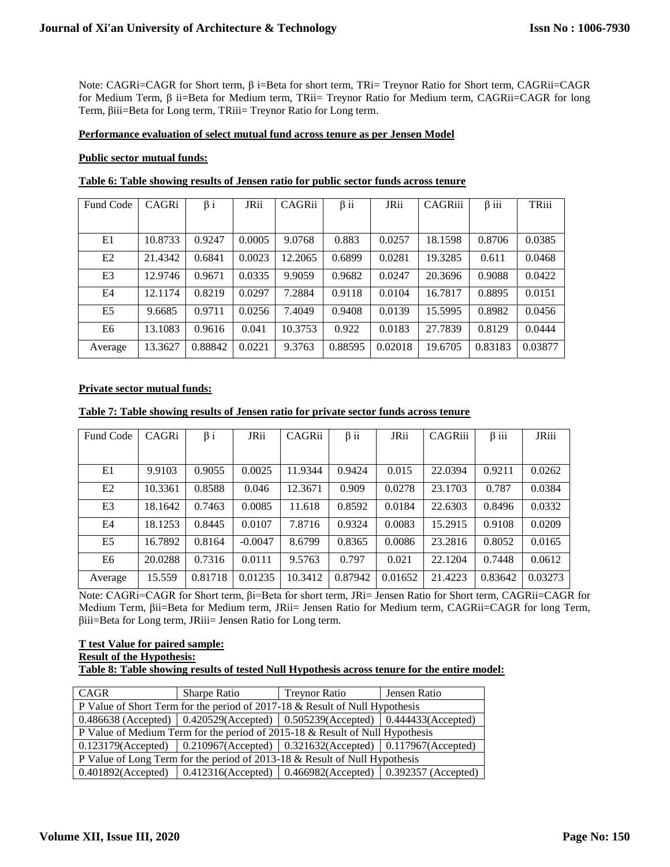Note: CAGRi=CAGR for Short term, β i=Beta for short term, TRi= Treynor Ratio for Short term, CAGRii=CAGR for Medium Term, β ii=Beta for Medium term, TRii= Treynor Ratio for Medium term, CAGRii=CAGR for long Term, βiii=Beta for Long term, TRiii= Treynor Ratio for Long term.

## **Performance evaluation of select mutual fund across tenure as per Jensen Model**

## **Public sector mutual funds:**

| Fund Code      | CAGRi   | $\beta i$ | JRii   | CAGRii  | $\beta$ ii | JRii    | CAGRiii | $\beta$ iii | TRiii   |
|----------------|---------|-----------|--------|---------|------------|---------|---------|-------------|---------|
|                |         |           |        |         |            |         |         |             |         |
|                |         |           |        |         |            |         |         |             |         |
| E1             | 10.8733 | 0.9247    | 0.0005 | 9.0768  | 0.883      | 0.0257  | 18.1598 | 0.8706      | 0.0385  |
|                |         |           |        |         |            |         |         |             |         |
| E2             | 21.4342 | 0.6841    | 0.0023 | 12.2065 | 0.6899     | 0.0281  | 19.3285 | 0.611       | 0.0468  |
| E <sub>3</sub> | 12.9746 | 0.9671    | 0.0335 | 9.9059  | 0.9682     | 0.0247  | 20.3696 | 0.9088      | 0.0422  |
|                |         |           |        |         |            |         |         |             |         |
| E4             | 12.1174 | 0.8219    | 0.0297 | 7.2884  | 0.9118     | 0.0104  | 16.7817 | 0.8895      | 0.0151  |
|                |         |           |        |         |            |         |         |             |         |
| E <sub>5</sub> | 9.6685  | 0.9711    | 0.0256 | 7.4049  | 0.9408     | 0.0139  | 15.5995 | 0.8982      | 0.0456  |
| E <sub>6</sub> | 13.1083 | 0.9616    | 0.041  | 10.3753 | 0.922      | 0.0183  | 27.7839 | 0.8129      | 0.0444  |
|                |         |           |        |         |            |         |         |             |         |
| Average        | 13.3627 | 0.88842   | 0.0221 | 9.3763  | 0.88595    | 0.02018 | 19.6705 | 0.83183     | 0.03877 |

## **Table 6: Table showing results of Jensen ratio for public sector funds across tenure**

## **Private sector mutual funds:**

|  |  |  |  | Table 7: Table showing results of Jensen ratio for private sector funds across tenure |  |  |  |  |  |  |  |  |
|--|--|--|--|---------------------------------------------------------------------------------------|--|--|--|--|--|--|--|--|
|--|--|--|--|---------------------------------------------------------------------------------------|--|--|--|--|--|--|--|--|

| Fund Code      | CAGRi   | $\beta i$ | JRii      | CAGRii  | $\beta$ ii | <b>JRii</b> | CAGRiii | $\beta$ iii | <b>JRiii</b> |
|----------------|---------|-----------|-----------|---------|------------|-------------|---------|-------------|--------------|
|                |         |           |           |         |            |             |         |             |              |
| E1             | 9.9103  | 0.9055    | 0.0025    | 11.9344 | 0.9424     | 0.015       | 22.0394 | 0.9211      | 0.0262       |
| E2             | 10.3361 | 0.8588    | 0.046     | 12.3671 | 0.909      | 0.0278      | 23.1703 | 0.787       | 0.0384       |
| E <sub>3</sub> | 18.1642 | 0.7463    | 0.0085    | 11.618  | 0.8592     | 0.0184      | 22.6303 | 0.8496      | 0.0332       |
| E4             | 18.1253 | 0.8445    | 0.0107    | 7.8716  | 0.9324     | 0.0083      | 15.2915 | 0.9108      | 0.0209       |
| E <sub>5</sub> | 16.7892 | 0.8164    | $-0.0047$ | 8.6799  | 0.8365     | 0.0086      | 23.2816 | 0.8052      | 0.0165       |
| E6             | 20.0288 | 0.7316    | 0.0111    | 9.5763  | 0.797      | 0.021       | 22.1204 | 0.7448      | 0.0612       |
| Average        | 15.559  | 0.81718   | 0.01235   | 10.3412 | 0.87942    | 0.01652     | 21.4223 | 0.83642     | 0.03273      |

Note: CAGRi=CAGR for Short term, βi=Beta for short term, JRi= Jensen Ratio for Short term, CAGRii=CAGR for Medium Term, βii=Beta for Medium term, JRii= Jensen Ratio for Medium term, CAGRii=CAGR for long Term, βiii=Beta for Long term, JRiii= Jensen Ratio for Long term.

#### **T test Value for paired sample: Result of the Hypothesis: Table 8: Table showing results of tested Null Hypothesis across tenure for the entire model:**

| CAGR                                                                                  | Sharpe Ratio | <b>Treynor Ratio</b> | Jensen Ratio |
|---------------------------------------------------------------------------------------|--------------|----------------------|--------------|
| P Value of Short Term for the period of 2017-18 & Result of Null Hypothesis           |              |                      |              |
| 0.486638 (Accepted)   0.420529 (Accepted)   0.505239 (Accepted)   0.444433 (Accepted) |              |                      |              |
| P Value of Medium Term for the period of 2015-18 & Result of Null Hypothesis          |              |                      |              |
| $0.123179$ (Accepted)   0.210967(Accepted)   0.321632(Accepted)   0.117967(Accepted)  |              |                      |              |
| P Value of Long Term for the period of 2013-18 & Result of Null Hypothesis            |              |                      |              |
| $0.401892$ (Accepted)   0.412316(Accepted)   0.466982(Accepted)   0.392357 (Accepted) |              |                      |              |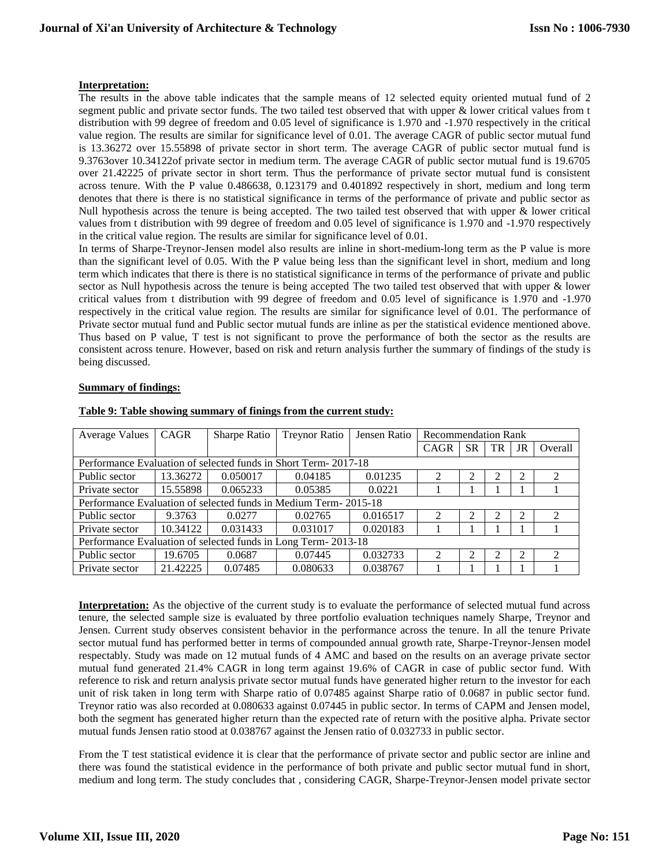## **Interpretation:**

The results in the above table indicates that the sample means of 12 selected equity oriented mutual fund of 2 segment public and private sector funds. The two tailed test observed that with upper & lower critical values from t distribution with 99 degree of freedom and 0.05 level of significance is 1.970 and -1.970 respectively in the critical value region. The results are similar for significance level of 0.01. The average CAGR of public sector mutual fund is 13.36272 over 15.55898 of private sector in short term. The average CAGR of public sector mutual fund is 9.3763over 10.34122of private sector in medium term. The average CAGR of public sector mutual fund is 19.6705 over 21.42225 of private sector in short term. Thus the performance of private sector mutual fund is consistent across tenure. With the P value 0.486638, 0.123179 and 0.401892 respectively in short, medium and long term denotes that there is there is no statistical significance in terms of the performance of private and public sector as Null hypothesis across the tenure is being accepted. The two tailed test observed that with upper & lower critical values from t distribution with 99 degree of freedom and 0.05 level of significance is 1.970 and -1.970 respectively in the critical value region. The results are similar for significance level of 0.01.

In terms of Sharpe-Treynor-Jensen model also results are inline in short-medium-long term as the P value is more than the significant level of 0.05. With the P value being less than the significant level in short, medium and long term which indicates that there is there is no statistical significance in terms of the performance of private and public sector as Null hypothesis across the tenure is being accepted The two tailed test observed that with upper & lower critical values from t distribution with 99 degree of freedom and 0.05 level of significance is 1.970 and -1.970 respectively in the critical value region. The results are similar for significance level of 0.01. The performance of Private sector mutual fund and Public sector mutual funds are inline as per the statistical evidence mentioned above. Thus based on P value, T test is not significant to prove the performance of both the sector as the results are consistent across tenure. However, based on risk and return analysis further the summary of findings of the study is being discussed.

## **Summary of findings:**

| <b>Average Values</b>                                           | CAGR     | Sharpe Ratio | <b>Treynor Ratio</b> | Jensen Ratio | <b>Recommendation Rank</b>  |           |    |    |                             |
|-----------------------------------------------------------------|----------|--------------|----------------------|--------------|-----------------------------|-----------|----|----|-----------------------------|
|                                                                 |          |              |                      |              | CAGR                        | <b>SR</b> | TR | JR | Overall                     |
| Performance Evaluation of selected funds in Short Term-2017-18  |          |              |                      |              |                             |           |    |    |                             |
| Public sector                                                   | 13.36272 | 0.050017     | 0.04185              | 0.01235      |                             |           | ∍  | ി  |                             |
| Private sector                                                  | 15.55898 | 0.065233     | 0.05385              | 0.0221       |                             |           |    |    |                             |
| Performance Evaluation of selected funds in Medium Term-2015-18 |          |              |                      |              |                             |           |    |    |                             |
| Public sector                                                   | 9.3763   | 0.0277       | 0.02765              | 0.016517     | $\mathcal{D}_{\mathcal{L}}$ | ∍         | ∍  | 2  | $\mathcal{D}_{\mathcal{L}}$ |
| Private sector                                                  | 10.34122 | 0.031433     | 0.031017             | 0.020183     |                             |           |    |    |                             |
| Performance Evaluation of selected funds in Long Term-2013-18   |          |              |                      |              |                             |           |    |    |                             |
| Public sector                                                   | 19.6705  | 0.0687       | 0.07445              | 0.032733     | $\mathcal{D}_{\mathcal{L}}$ |           | ↑  | ി  | $\mathcal{D}_{\mathcal{L}}$ |
| Private sector                                                  | 21.42225 | 0.07485      | 0.080633             | 0.038767     |                             |           |    |    |                             |

#### **Table 9: Table showing summary of finings from the current study:**

**Interpretation:** As the objective of the current study is to evaluate the performance of selected mutual fund across tenure, the selected sample size is evaluated by three portfolio evaluation techniques namely Sharpe, Treynor and Jensen. Current study observes consistent behavior in the performance across the tenure. In all the tenure Private sector mutual fund has performed better in terms of compounded annual growth rate, Sharpe-Treynor-Jensen model respectably. Study was made on 12 mutual funds of 4 AMC and based on the results on an average private sector mutual fund generated 21.4% CAGR in long term against 19.6% of CAGR in case of public sector fund. With reference to risk and return analysis private sector mutual funds have generated higher return to the investor for each unit of risk taken in long term with Sharpe ratio of 0.07485 against Sharpe ratio of 0.0687 in public sector fund. Treynor ratio was also recorded at 0.080633 against 0.07445 in public sector. In terms of CAPM and Jensen model, both the segment has generated higher return than the expected rate of return with the positive alpha. Private sector mutual funds Jensen ratio stood at 0.038767 against the Jensen ratio of 0.032733 in public sector.

From the T test statistical evidence it is clear that the performance of private sector and public sector are inline and there was found the statistical evidence in the performance of both private and public sector mutual fund in short, medium and long term. The study concludes that , considering CAGR, Sharpe-Treynor-Jensen model private sector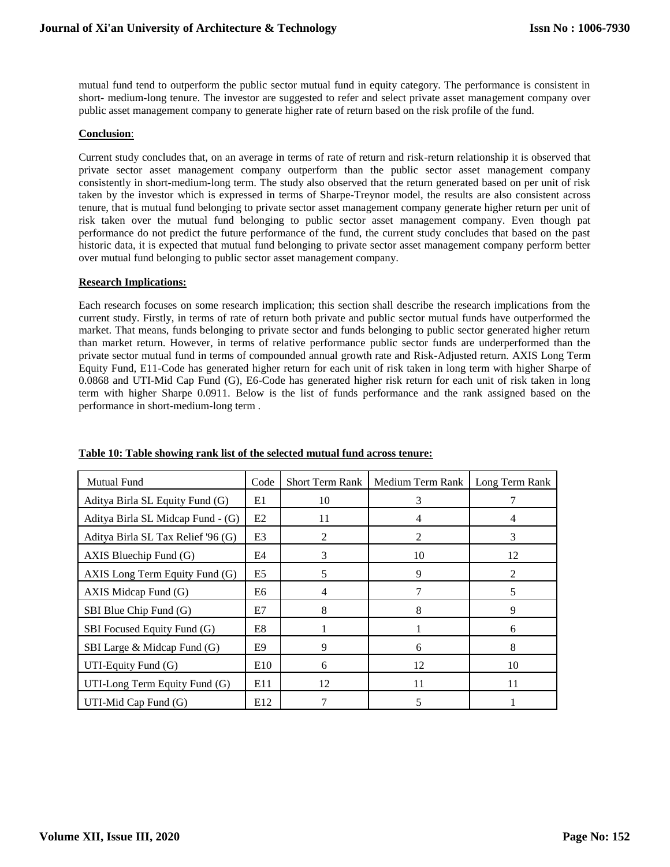mutual fund tend to outperform the public sector mutual fund in equity category. The performance is consistent in short- medium-long tenure. The investor are suggested to refer and select private asset management company over public asset management company to generate higher rate of return based on the risk profile of the fund.

## **Conclusion**:

Current study concludes that, on an average in terms of rate of return and risk-return relationship it is observed that private sector asset management company outperform than the public sector asset management company consistently in short-medium-long term. The study also observed that the return generated based on per unit of risk taken by the investor which is expressed in terms of Sharpe-Treynor model, the results are also consistent across tenure, that is mutual fund belonging to private sector asset management company generate higher return per unit of risk taken over the mutual fund belonging to public sector asset management company. Even though pat performance do not predict the future performance of the fund, the current study concludes that based on the past historic data, it is expected that mutual fund belonging to private sector asset management company perform better over mutual fund belonging to public sector asset management company.

## **Research Implications:**

Each research focuses on some research implication; this section shall describe the research implications from the current study. Firstly, in terms of rate of return both private and public sector mutual funds have outperformed the market. That means, funds belonging to private sector and funds belonging to public sector generated higher return than market return. However, in terms of relative performance public sector funds are underperformed than the private sector mutual fund in terms of compounded annual growth rate and Risk-Adjusted return. AXIS Long Term Equity Fund, E11-Code has generated higher return for each unit of risk taken in long term with higher Sharpe of 0.0868 and UTI-Mid Cap Fund (G), E6-Code has generated higher risk return for each unit of risk taken in long term with higher Sharpe 0.0911. Below is the list of funds performance and the rank assigned based on the performance in short-medium-long term .

| <b>Mutual Fund</b>                 | Code            | <b>Short Term Rank</b> | Medium Term Rank   Long Term Rank |                |
|------------------------------------|-----------------|------------------------|-----------------------------------|----------------|
| Aditya Birla SL Equity Fund (G)    | E1              | 10                     | 3                                 |                |
| Aditya Birla SL Midcap Fund - (G)  | E2              | 11                     | 4                                 | 4              |
| Aditya Birla SL Tax Relief '96 (G) | E <sub>3</sub>  | 2                      | 2                                 | 3              |
| AXIS Bluechip Fund $(G)$           | E4              | 3                      | 10                                | 12             |
| AXIS Long Term Equity Fund (G)     | E5              | 5                      | 9                                 | $\mathfrak{D}$ |
| AXIS Midcap Fund $(G)$             | E6              | $\overline{4}$         |                                   | 5              |
| SBI Blue Chip Fund (G)             | E7              | 8                      | 8                                 | 9              |
| SBI Focused Equity Fund (G)        | E8              |                        |                                   | 6              |
| SBI Large $\&$ Midcap Fund $(G)$   | E9              | 9                      | 6                                 | 8              |
| UTI-Equity Fund $(G)$              | E <sub>10</sub> | 6                      | 12                                | 10             |
| UTI-Long Term Equity Fund (G)      | E11             | 12                     | 11                                | 11             |
| UTI-Mid Cap Fund $(G)$             | E12             |                        | 5                                 |                |

## **Table 10: Table showing rank list of the selected mutual fund across tenure:**